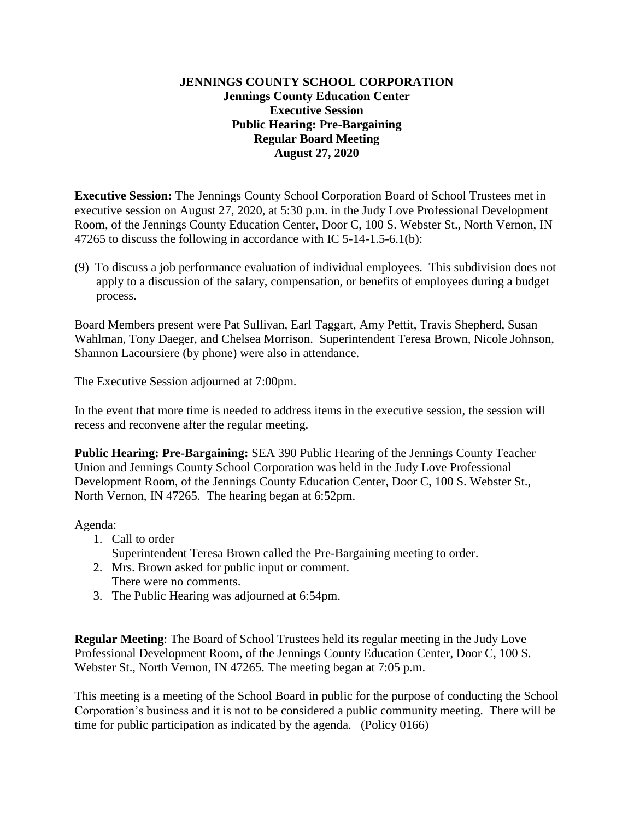### **JENNINGS COUNTY SCHOOL CORPORATION Jennings County Education Center Executive Session Public Hearing: Pre-Bargaining Regular Board Meeting August 27, 2020**

**Executive Session:** The Jennings County School Corporation Board of School Trustees met in executive session on August 27, 2020, at 5:30 p.m. in the Judy Love Professional Development Room, of the Jennings County Education Center, Door C, 100 S. Webster St., North Vernon, IN 47265 to discuss the following in accordance with IC 5-14-1.5-6.1(b):

(9) To discuss a job performance evaluation of individual employees. This subdivision does not apply to a discussion of the salary, compensation, or benefits of employees during a budget process.

Board Members present were Pat Sullivan, Earl Taggart, Amy Pettit, Travis Shepherd, Susan Wahlman, Tony Daeger, and Chelsea Morrison. Superintendent Teresa Brown, Nicole Johnson, Shannon Lacoursiere (by phone) were also in attendance.

The Executive Session adjourned at 7:00pm.

In the event that more time is needed to address items in the executive session, the session will recess and reconvene after the regular meeting.

**Public Hearing: Pre-Bargaining:** SEA 390 Public Hearing of the Jennings County Teacher Union and Jennings County School Corporation was held in the Judy Love Professional Development Room, of the Jennings County Education Center, Door C, 100 S. Webster St., North Vernon, IN 47265. The hearing began at 6:52pm.

#### Agenda:

- 1. Call to order
	- Superintendent Teresa Brown called the Pre-Bargaining meeting to order.
- 2. Mrs. Brown asked for public input or comment. There were no comments.
- 3. The Public Hearing was adjourned at 6:54pm.

**Regular Meeting**: The Board of School Trustees held its regular meeting in the Judy Love Professional Development Room, of the Jennings County Education Center, Door C, 100 S. Webster St., North Vernon, IN 47265. The meeting began at 7:05 p.m.

This meeting is a meeting of the School Board in public for the purpose of conducting the School Corporation's business and it is not to be considered a public community meeting. There will be time for public participation as indicated by the agenda. (Policy 0166)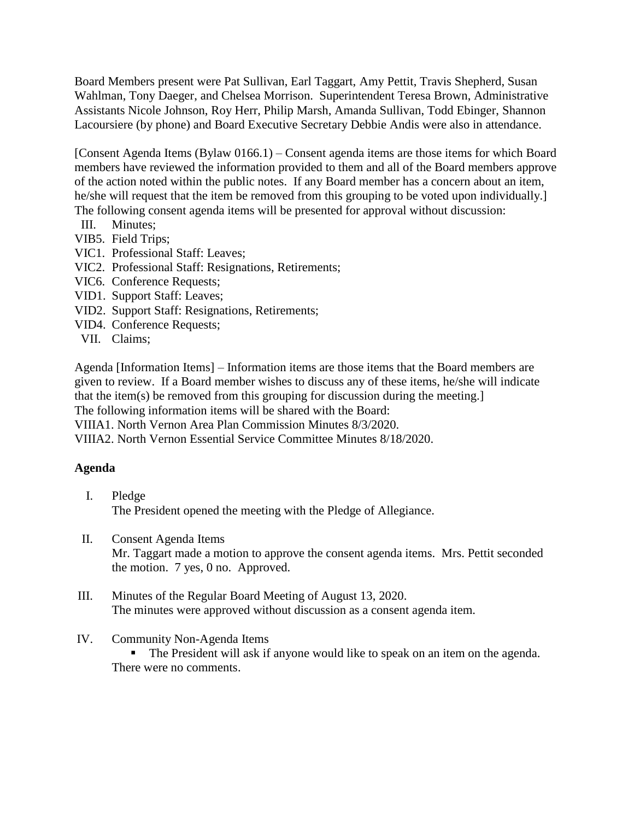Board Members present were Pat Sullivan, Earl Taggart, Amy Pettit, Travis Shepherd, Susan Wahlman, Tony Daeger, and Chelsea Morrison. Superintendent Teresa Brown, Administrative Assistants Nicole Johnson, Roy Herr, Philip Marsh, Amanda Sullivan, Todd Ebinger, Shannon Lacoursiere (by phone) and Board Executive Secretary Debbie Andis were also in attendance.

[Consent Agenda Items (Bylaw 0166.1) – Consent agenda items are those items for which Board members have reviewed the information provided to them and all of the Board members approve of the action noted within the public notes. If any Board member has a concern about an item, he/she will request that the item be removed from this grouping to be voted upon individually.] The following consent agenda items will be presented for approval without discussion:

- III. Minutes;
- VIB5. Field Trips;
- VIC1. Professional Staff: Leaves;
- VIC2. Professional Staff: Resignations, Retirements;
- VIC6. Conference Requests;
- VID1. Support Staff: Leaves;
- VID2. Support Staff: Resignations, Retirements;
- VID4. Conference Requests;
- VII. Claims;

Agenda [Information Items] – Information items are those items that the Board members are given to review. If a Board member wishes to discuss any of these items, he/she will indicate that the item(s) be removed from this grouping for discussion during the meeting.]

The following information items will be shared with the Board:

VIIIA1. North Vernon Area Plan Commission Minutes 8/3/2020.

VIIIA2. North Vernon Essential Service Committee Minutes 8/18/2020.

#### **Agenda**

- I. Pledge The President opened the meeting with the Pledge of Allegiance.
- II. Consent Agenda Items Mr. Taggart made a motion to approve the consent agenda items. Mrs. Pettit seconded the motion. 7 yes, 0 no. Approved.
- III. Minutes of the Regular Board Meeting of August 13, 2020. The minutes were approved without discussion as a consent agenda item.

### IV. Community Non-Agenda Items

 The President will ask if anyone would like to speak on an item on the agenda. There were no comments.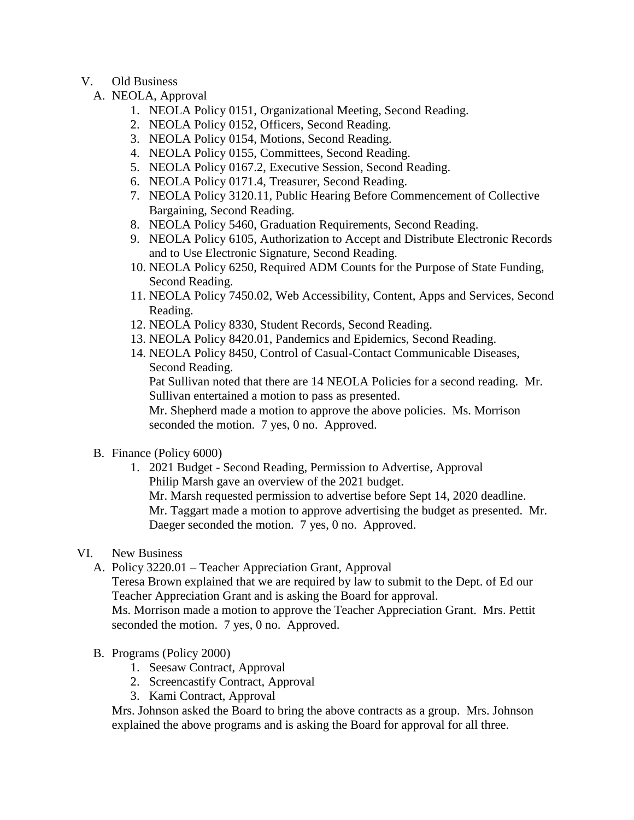- V. Old Business
	- A. NEOLA, Approval
		- 1. NEOLA Policy 0151, Organizational Meeting, Second Reading.
		- 2. NEOLA Policy 0152, Officers, Second Reading.
		- 3. NEOLA Policy 0154, Motions, Second Reading.
		- 4. NEOLA Policy 0155, Committees, Second Reading.
		- 5. NEOLA Policy 0167.2, Executive Session, Second Reading.
		- 6. NEOLA Policy 0171.4, Treasurer, Second Reading.
		- 7. NEOLA Policy 3120.11, Public Hearing Before Commencement of Collective Bargaining, Second Reading.
		- 8. NEOLA Policy 5460, Graduation Requirements, Second Reading.
		- 9. NEOLA Policy 6105, Authorization to Accept and Distribute Electronic Records and to Use Electronic Signature, Second Reading.
		- 10. NEOLA Policy 6250, Required ADM Counts for the Purpose of State Funding, Second Reading.
		- 11. NEOLA Policy 7450.02, Web Accessibility, Content, Apps and Services, Second Reading.
		- 12. NEOLA Policy 8330, Student Records, Second Reading.
		- 13. NEOLA Policy 8420.01, Pandemics and Epidemics, Second Reading.
		- 14. NEOLA Policy 8450, Control of Casual-Contact Communicable Diseases, Second Reading.

Pat Sullivan noted that there are 14 NEOLA Policies for a second reading. Mr. Sullivan entertained a motion to pass as presented.

Mr. Shepherd made a motion to approve the above policies. Ms. Morrison seconded the motion. 7 yes, 0 no. Approved.

- B. Finance (Policy 6000)
	- 1. 2021 Budget Second Reading, Permission to Advertise, Approval Philip Marsh gave an overview of the 2021 budget. Mr. Marsh requested permission to advertise before Sept 14, 2020 deadline. Mr. Taggart made a motion to approve advertising the budget as presented. Mr. Daeger seconded the motion. 7 yes, 0 no. Approved.
- VI. New Business
	- A. Policy 3220.01 Teacher Appreciation Grant, Approval

Teresa Brown explained that we are required by law to submit to the Dept. of Ed our Teacher Appreciation Grant and is asking the Board for approval.

Ms. Morrison made a motion to approve the Teacher Appreciation Grant. Mrs. Pettit seconded the motion. 7 yes, 0 no. Approved.

- B. Programs (Policy 2000)
	- 1. Seesaw Contract, Approval
	- 2. Screencastify Contract, Approval
	- 3. Kami Contract, Approval

Mrs. Johnson asked the Board to bring the above contracts as a group. Mrs. Johnson explained the above programs and is asking the Board for approval for all three.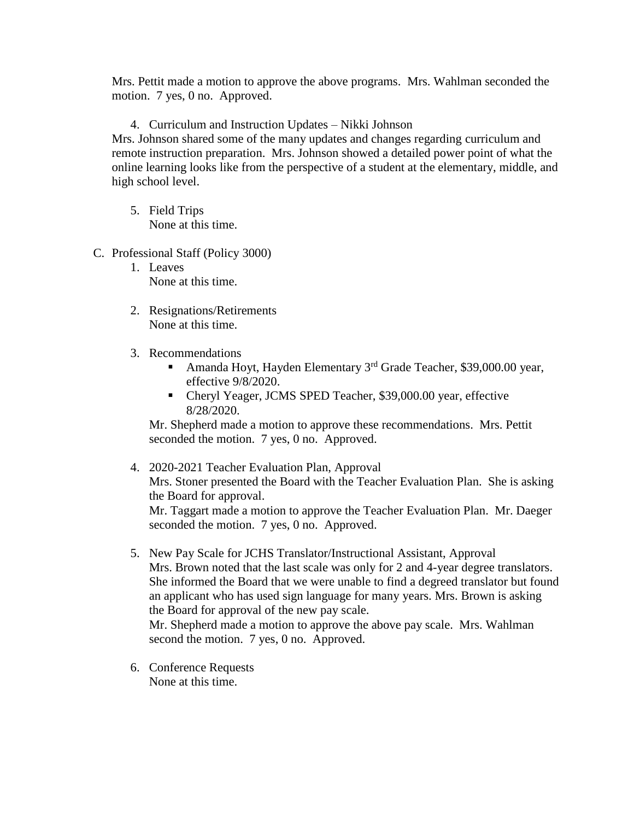Mrs. Pettit made a motion to approve the above programs. Mrs. Wahlman seconded the motion. 7 yes, 0 no. Approved.

4. Curriculum and Instruction Updates – Nikki Johnson

Mrs. Johnson shared some of the many updates and changes regarding curriculum and remote instruction preparation. Mrs. Johnson showed a detailed power point of what the online learning looks like from the perspective of a student at the elementary, middle, and high school level.

- 5. Field Trips None at this time.
- C. Professional Staff (Policy 3000)
	- 1. Leaves None at this time.
	- 2. Resignations/Retirements None at this time.
	- 3. Recommendations
		- Amanda Hoyt, Hayden Elementary  $3<sup>rd</sup>$  Grade Teacher, \$39,000.00 year, effective 9/8/2020.
		- Cheryl Yeager, JCMS SPED Teacher, \$39,000.00 year, effective 8/28/2020.

Mr. Shepherd made a motion to approve these recommendations. Mrs. Pettit seconded the motion. 7 yes, 0 no. Approved.

- 4. 2020-2021 Teacher Evaluation Plan, Approval Mrs. Stoner presented the Board with the Teacher Evaluation Plan. She is asking the Board for approval. Mr. Taggart made a motion to approve the Teacher Evaluation Plan. Mr. Daeger seconded the motion. 7 yes, 0 no. Approved.
- 5. New Pay Scale for JCHS Translator/Instructional Assistant, Approval Mrs. Brown noted that the last scale was only for 2 and 4-year degree translators. She informed the Board that we were unable to find a degreed translator but found an applicant who has used sign language for many years. Mrs. Brown is asking the Board for approval of the new pay scale.

Mr. Shepherd made a motion to approve the above pay scale. Mrs. Wahlman second the motion. 7 yes, 0 no. Approved.

6. Conference Requests None at this time.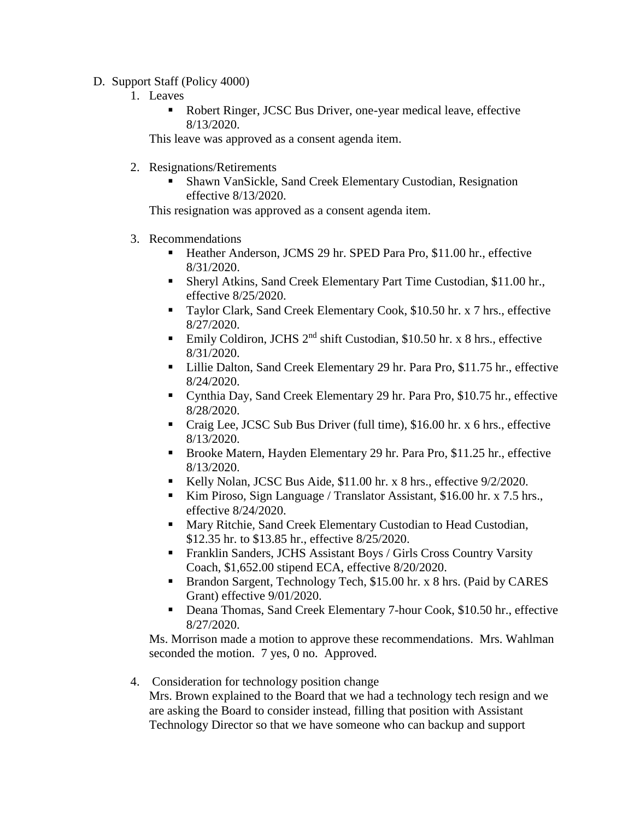- D. Support Staff (Policy 4000)
	- 1. Leaves
		- Robert Ringer, JCSC Bus Driver, one-year medical leave, effective 8/13/2020.

This leave was approved as a consent agenda item.

- 2. Resignations/Retirements
	- Shawn VanSickle, Sand Creek Elementary Custodian, Resignation effective 8/13/2020.

This resignation was approved as a consent agenda item.

- 3. Recommendations
	- Heather Anderson, JCMS 29 hr. SPED Para Pro, \$11.00 hr., effective 8/31/2020.
	- Sheryl Atkins, Sand Creek Elementary Part Time Custodian, \$11.00 hr., effective 8/25/2020.
	- Taylor Clark, Sand Creek Elementary Cook, \$10.50 hr. x 7 hrs., effective 8/27/2020.
	- Emily Coldiron, JCHS  $2^{nd}$  shift Custodian, \$10.50 hr. x 8 hrs., effective 8/31/2020.
	- Lillie Dalton, Sand Creek Elementary 29 hr. Para Pro, \$11.75 hr., effective 8/24/2020.
	- Cynthia Day, Sand Creek Elementary 29 hr. Para Pro, \$10.75 hr., effective 8/28/2020.
	- Craig Lee, JCSC Sub Bus Driver (full time), \$16.00 hr. x 6 hrs., effective 8/13/2020.
	- Brooke Matern, Hayden Elementary 29 hr. Para Pro, \$11.25 hr., effective 8/13/2020.
	- Kelly Nolan, JCSC Bus Aide, \$11.00 hr. x 8 hrs., effective 9/2/2020.
	- Kim Piroso, Sign Language / Translator Assistant, \$16.00 hr. x 7.5 hrs., effective 8/24/2020.
	- **Mary Ritchie, Sand Creek Elementary Custodian to Head Custodian,** \$12.35 hr. to \$13.85 hr., effective 8/25/2020.
	- Franklin Sanders, JCHS Assistant Boys / Girls Cross Country Varsity Coach, \$1,652.00 stipend ECA, effective 8/20/2020.
	- **Brandon Sargent, Technology Tech, \$15.00 hr. x 8 hrs. (Paid by CARES** Grant) effective 9/01/2020.
	- Deana Thomas, Sand Creek Elementary 7-hour Cook, \$10.50 hr., effective 8/27/2020.

Ms. Morrison made a motion to approve these recommendations. Mrs. Wahlman seconded the motion. 7 yes, 0 no. Approved.

4. Consideration for technology position change

Mrs. Brown explained to the Board that we had a technology tech resign and we are asking the Board to consider instead, filling that position with Assistant Technology Director so that we have someone who can backup and support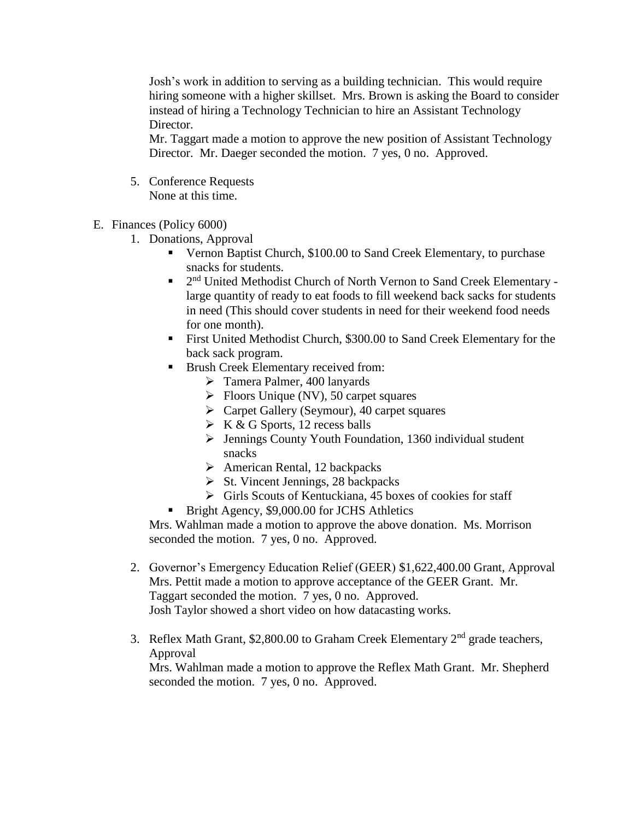Josh's work in addition to serving as a building technician. This would require hiring someone with a higher skillset. Mrs. Brown is asking the Board to consider instead of hiring a Technology Technician to hire an Assistant Technology Director.

Mr. Taggart made a motion to approve the new position of Assistant Technology Director. Mr. Daeger seconded the motion. 7 yes, 0 no. Approved.

- 5. Conference Requests None at this time.
- E. Finances (Policy 6000)
	- 1. Donations, Approval
		- Vernon Baptist Church, \$100.00 to Sand Creek Elementary, to purchase snacks for students.
		- <sup>2nd</sup> United Methodist Church of North Vernon to Sand Creek Elementary large quantity of ready to eat foods to fill weekend back sacks for students in need (This should cover students in need for their weekend food needs for one month).
		- First United Methodist Church, \$300.00 to Sand Creek Elementary for the back sack program.
		- Brush Creek Elementary received from:
			- Tamera Palmer, 400 lanyards
			- $\triangleright$  Floors Unique (NV), 50 carpet squares
			- Carpet Gallery (Seymour), 40 carpet squares
			- $\triangleright$  K & G Sports, 12 recess balls
			- Jennings County Youth Foundation, 1360 individual student snacks
			- $\triangleright$  American Rental, 12 backpacks
			- $\triangleright$  St. Vincent Jennings, 28 backpacks
			- $\triangleright$  Girls Scouts of Kentuckiana, 45 boxes of cookies for staff
			- Bright Agency, \$9,000.00 for JCHS Athletics

Mrs. Wahlman made a motion to approve the above donation. Ms. Morrison seconded the motion. 7 yes, 0 no. Approved.

- 2. Governor's Emergency Education Relief (GEER) \$1,622,400.00 Grant, Approval Mrs. Pettit made a motion to approve acceptance of the GEER Grant. Mr. Taggart seconded the motion. 7 yes, 0 no. Approved. Josh Taylor showed a short video on how datacasting works.
- 3. Reflex Math Grant, \$2,800.00 to Graham Creek Elementary  $2<sup>nd</sup>$  grade teachers, Approval

Mrs. Wahlman made a motion to approve the Reflex Math Grant. Mr. Shepherd seconded the motion. 7 yes, 0 no. Approved.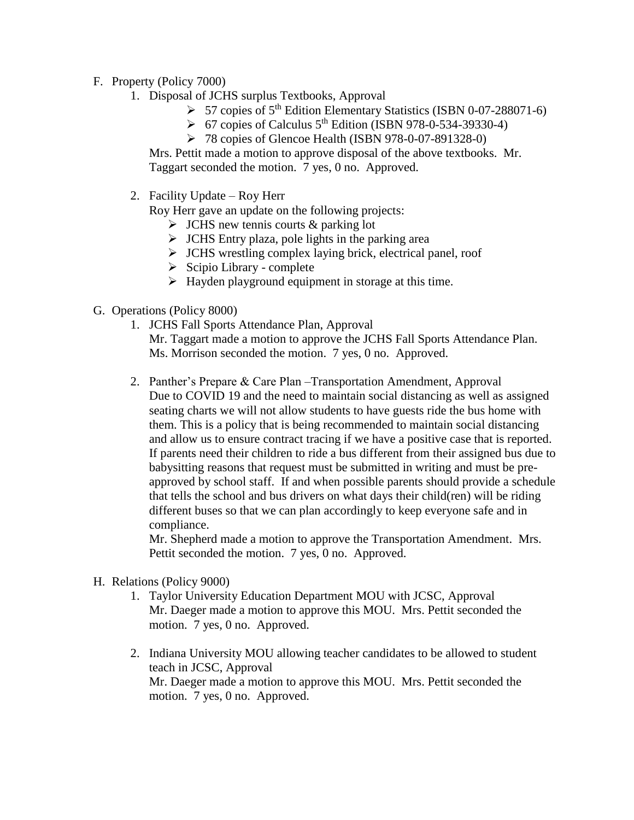- F. Property (Policy 7000)
	- 1. Disposal of JCHS surplus Textbooks, Approval
		- $\triangleright$  57 copies of 5<sup>th</sup> Edition Elementary Statistics (ISBN 0-07-288071-6)
		- $\triangleright$  67 copies of Calculus 5<sup>th</sup> Edition (ISBN 978-0-534-39330-4)
		- $\triangleright$  78 copies of Glencoe Health (ISBN 978-0-07-891328-0)

Mrs. Pettit made a motion to approve disposal of the above textbooks. Mr. Taggart seconded the motion. 7 yes, 0 no. Approved.

2. Facility Update – Roy Herr

Roy Herr gave an update on the following projects:

- $\triangleright$  JCHS new tennis courts & parking lot
- $\triangleright$  JCHS Entry plaza, pole lights in the parking area
- $\triangleright$  JCHS wrestling complex laying brick, electrical panel, roof
- $\triangleright$  Scipio Library complete
- $\triangleright$  Hayden playground equipment in storage at this time.
- G. Operations (Policy 8000)
	- 1. JCHS Fall Sports Attendance Plan, Approval
		- Mr. Taggart made a motion to approve the JCHS Fall Sports Attendance Plan. Ms. Morrison seconded the motion. 7 yes, 0 no. Approved.
	- 2. Panther's Prepare & Care Plan –Transportation Amendment, Approval Due to COVID 19 and the need to maintain social distancing as well as assigned seating charts we will not allow students to have guests ride the bus home with them. This is a policy that is being recommended to maintain social distancing and allow us to ensure contract tracing if we have a positive case that is reported. If parents need their children to ride a bus different from their assigned bus due to babysitting reasons that request must be submitted in writing and must be preapproved by school staff. If and when possible parents should provide a schedule that tells the school and bus drivers on what days their child(ren) will be riding different buses so that we can plan accordingly to keep everyone safe and in compliance.

Mr. Shepherd made a motion to approve the Transportation Amendment. Mrs. Pettit seconded the motion. 7 yes, 0 no. Approved.

- H. Relations (Policy 9000)
	- 1. Taylor University Education Department MOU with JCSC, Approval Mr. Daeger made a motion to approve this MOU. Mrs. Pettit seconded the motion. 7 yes, 0 no. Approved.
	- 2. Indiana University MOU allowing teacher candidates to be allowed to student teach in JCSC, Approval Mr. Daeger made a motion to approve this MOU. Mrs. Pettit seconded the motion. 7 yes, 0 no. Approved.